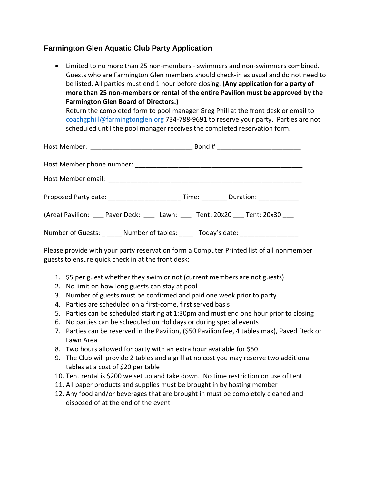## **Farmington Glen Aquatic Club Party Application**

 Limited to no more than 25 non-members - swimmers and non-swimmers combined. Guests who are Farmington Glen members should check-in as usual and do not need to be listed. All parties must end 1 hour before closing. **(Any application for a party of more than 25 non-members or rental of the entire Pavilion must be approved by the Farmington Glen Board of Directors.)**

Return the completed form to pool manager Greg Phill at the front desk or email to [coachgphill@farmingtong](mailto:coachgphill@farmington)len.org 734-788-9691 to reserve your party. Parties are not scheduled until the pool manager receives the completed reservation form.

| Proposed Party date: _______________________________Time: ____________Duration: ___________________ |  |
|-----------------------------------------------------------------------------------------------------|--|
| (Area) Pavilion: Paver Deck: Lawn: Tent: 20x20 Tent: 20x30                                          |  |
| Number of Guests: ______ Number of tables: _____ Today's date: _________________                    |  |

Please provide with your party reservation form a Computer Printed list of all nonmember guests to ensure quick check in at the front desk:

- 1. \$5 per guest whether they swim or not (current members are not guests)
- 2. No limit on how long guests can stay at pool
- 3. Number of guests must be confirmed and paid one week prior to party
- 4. Parties are scheduled on a first-come, first served basis
- 5. Parties can be scheduled starting at 1:30pm and must end one hour prior to closing
- 6. No parties can be scheduled on Holidays or during special events
- 7. Parties can be reserved in the Pavilion, (\$50 Pavilion fee, 4 tables max), Paved Deck or Lawn Area
- 8. Two hours allowed for party with an extra hour available for \$50
- 9. The Club will provide 2 tables and a grill at no cost you may reserve two additional tables at a cost of \$20 per table
- 10. Tent rental is \$200 we set up and take down. No time restriction on use of tent
- 11. All paper products and supplies must be brought in by hosting member
- 12. Any food and/or beverages that are brought in must be completely cleaned and disposed of at the end of the event